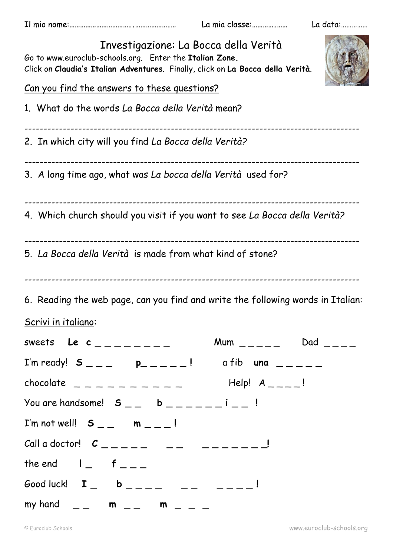Il mio nome:**……………………………..……………….…** La mia classe:**………….……** La data:……………

| Investigazione: La Bocca della Verità<br>Go to www.euroclub-schools.org. Enter the Italian Zone.<br>Click on Claudia's Italian Adventures. Finally, click on La Bocca della Verità. |
|-------------------------------------------------------------------------------------------------------------------------------------------------------------------------------------|
| Can you find the answers to these questions?                                                                                                                                        |
| 1. What do the words La Bocca della Verità mean?                                                                                                                                    |
| 2. In which city will you find La Bocca della Verità?                                                                                                                               |
| 3. A long time ago, what was La bocca della Verità used for?                                                                                                                        |
| 4. Which church should you visit if you want to see La Bocca della Verità?                                                                                                          |
| 5. La Bocca della Verità is made from what kind of stone?                                                                                                                           |
| 6. Reading the web page, can you find and write the following words in Italian:                                                                                                     |
| <u>Scrivi in italiano:</u>                                                                                                                                                          |
| Mum $\_\_$<br>sweets Le $c_{-------}$                                                                                                                                               |
| I'm ready! $S_{\_\_\_\_}$ p______! a fib una _____                                                                                                                                  |
| $chocolate$ _ _ _ _ _ _ _ _ _ _<br>$\mathsf{Help}!$ $\mathsf{A}_{\mathsf{---}}$ $\mathsf{--}!$                                                                                      |
| You are handsome! $S_{--}$ b $--- - -$ i $---$ !                                                                                                                                    |
| I'm not well! $S_{--}$ m $_{--}$ !                                                                                                                                                  |
|                                                                                                                                                                                     |
| the end $I_{-}$ $f_{-}$                                                                                                                                                             |
| Good luck! $I_$ b ____ _ __ __ __ __ !                                                                                                                                              |
| my hand $\qquad \qquad \_ \text{---}$ m $\qquad \_ \text{---}$ m $\qquad \_ \text{---}$                                                                                             |